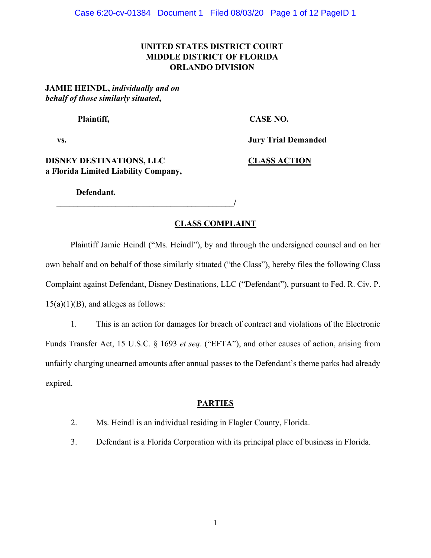# **UNITED STATES DISTRICT COURT MIDDLE DISTRICT OF FLORIDA ORLANDO DIVISION**

**JAMIE HEINDL,** *individually and on behalf of those similarly situated***,** 

Plaintiff, CASE NO.

**vs. Jury Trial Demanded** 

**DISNEY DESTINATIONS, LLC CLASS ACTION a Florida Limited Liability Company,**

**Defendant.** 

 $\overline{a}$ 

### **CLASS COMPLAINT**

Plaintiff Jamie Heindl ("Ms. Heindl"), by and through the undersigned counsel and on her own behalf and on behalf of those similarly situated ("the Class"), hereby files the following Class Complaint against Defendant, Disney Destinations, LLC ("Defendant"), pursuant to Fed. R. Civ. P.  $15(a)(1)(B)$ , and alleges as follows:

1. This is an action for damages for breach of contract and violations of the Electronic Funds Transfer Act, 15 U.S.C. § 1693 *et seq.* ("EFTA"), and other causes of action, arising from unfairly charging unearned amounts after annual passes to the Defendant's theme parks had already expired.

# **PARTIES**

- 2. Ms. Heindl is an individual residing in Flagler County, Florida.
- 3. Defendant is a Florida Corporation with its principal place of business in Florida.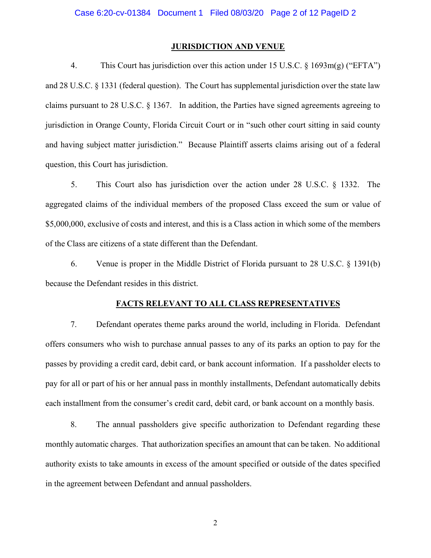### **JURISDICTION AND VENUE**

4. This Court has jurisdiction over this action under 15 U.S.C.  $\S$  1693m(g) ("EFTA") and 28 U.S.C. § 1331 (federal question). The Court has supplemental jurisdiction over the state law claims pursuant to 28 U.S.C.  $\S$  1367. In addition, the Parties have signed agreements agreeing to jurisdiction in Orange County, Florida Circuit Court or in "such other court sitting in said county and having subject matter jurisdiction." Because Plaintiff asserts claims arising out of a federal question, this Court has jurisdiction.

5. This Court also has jurisdiction over the action under 28 U.S.C. § 1332. The aggregated claims of the individual members of the proposed Class exceed the sum or value of \$5,000,000, exclusive of costs and interest, and this is a Class action in which some of the members of the Class are citizens of a state different than the Defendant.

6. Venue is proper in the Middle District of Florida pursuant to 28 U.S.C. § 1391(b) because the Defendant resides in this district.

#### **FACTS RELEVANT TO ALL CLASS REPRESENTATIVES**

7. Defendant operates theme parks around the world, including in Florida. Defendant offers consumers who wish to purchase annual passes to any of its parks an option to pay for the passes by providing a credit card, debit card, or bank account information. If a passholder elects to pay for all or part of his or her annual pass in monthly installments, Defendant automatically debits each installment from the consumer's credit card, debit card, or bank account on a monthly basis.

8. The annual passholders give specific authorization to Defendant regarding these monthly automatic charges. That authorization specifies an amount that can be taken. No additional authority exists to take amounts in excess of the amount specified or outside of the dates specified in the agreement between Defendant and annual passholders.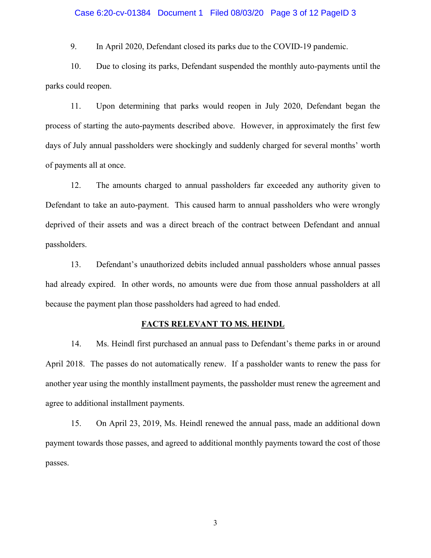#### Case 6:20-cv-01384 Document 1 Filed 08/03/20 Page 3 of 12 PageID 3

9. In April 2020, Defendant closed its parks due to the COVID-19 pandemic.

10. Due to closing its parks, Defendant suspended the monthly auto-payments until the parks could reopen.

11. Upon determining that parks would reopen in July 2020, Defendant began the process of starting the auto-payments described above. However, in approximately the first few days of July annual passholders were shockingly and suddenly charged for several months' worth of payments all at once.

12. The amounts charged to annual passholders far exceeded any authority given to Defendant to take an auto-payment. This caused harm to annual passholders who were wrongly deprived of their assets and was a direct breach of the contract between Defendant and annual passholders.

13. Defendant's unauthorized debits included annual passholders whose annual passes had already expired. In other words, no amounts were due from those annual passholders at all because the payment plan those passholders had agreed to had ended.

#### **FACTS RELEVANT TO MS. HEINDL**

14. Ms. Heindl first purchased an annual pass to Defendant's theme parks in or around April 2018. The passes do not automatically renew. If a passholder wants to renew the pass for another year using the monthly installment payments, the passholder must renew the agreement and agree to additional installment payments.

15. On April 23, 2019, Ms. Heindl renewed the annual pass, made an additional down payment towards those passes, and agreed to additional monthly payments toward the cost of those passes.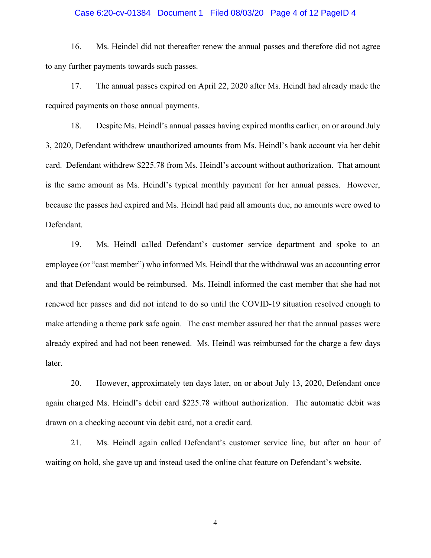#### Case 6:20-cv-01384 Document 1 Filed 08/03/20 Page 4 of 12 PageID 4

16. Ms. Heindel did not thereafter renew the annual passes and therefore did not agree to any further payments towards such passes.

17. The annual passes expired on April 22, 2020 after Ms. Heindl had already made the required payments on those annual payments.

18. Despite Ms. Heindl's annual passes having expired months earlier, on or around July 3, 2020, Defendant withdrew unauthorized amounts from Ms. Heindl's bank account via her debit card. Defendant withdrew \$225.78 from Ms. Heindl's account without authorization. That amount is the same amount as Ms. Heindl's typical monthly payment for her annual passes. However, because the passes had expired and Ms. Heindl had paid all amounts due, no amounts were owed to Defendant.

19. Ms. Heindl called Defendant's customer service department and spoke to an employee (or "cast member") who informed Ms. Heindl that the withdrawal was an accounting error and that Defendant would be reimbursed. Ms. Heindl informed the cast member that she had not renewed her passes and did not intend to do so until the COVID-19 situation resolved enough to make attending a theme park safe again. The cast member assured her that the annual passes were already expired and had not been renewed. Ms. Heindl was reimbursed for the charge a few days later.

20. However, approximately ten days later, on or about July 13, 2020, Defendant once again charged Ms. Heindl's debit card \$225.78 without authorization. The automatic debit was drawn on a checking account via debit card, not a credit card.

21. Ms. Heindl again called Defendant's customer service line, but after an hour of waiting on hold, she gave up and instead used the online chat feature on Defendant's website.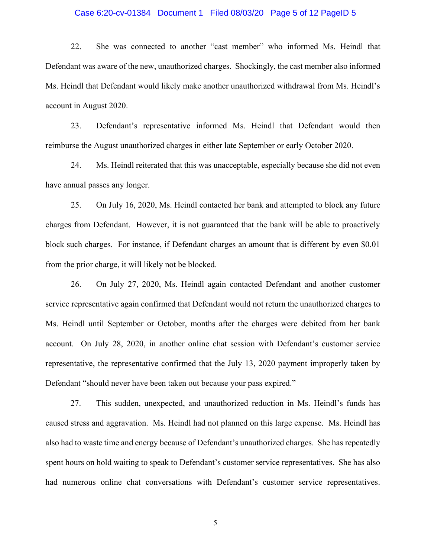#### Case 6:20-cv-01384 Document 1 Filed 08/03/20 Page 5 of 12 PageID 5

22. She was connected to another "cast member" who informed Ms. Heindl that Defendant was aware of the new, unauthorized charges. Shockingly, the cast member also informed Ms. Heindl that Defendant would likely make another unauthorized withdrawal from Ms. Heindl's account in August 2020.

23. Defendant's representative informed Ms. Heindl that Defendant would then reimburse the August unauthorized charges in either late September or early October 2020.

24. Ms. Heindl reiterated that this was unacceptable, especially because she did not even have annual passes any longer.

25. On July 16, 2020, Ms. Heindl contacted her bank and attempted to block any future charges from Defendant. However, it is not guaranteed that the bank will be able to proactively block such charges. For instance, if Defendant charges an amount that is different by even \$0.01 from the prior charge, it will likely not be blocked.

26. On July 27, 2020, Ms. Heindl again contacted Defendant and another customer service representative again confirmed that Defendant would not return the unauthorized charges to Ms. Heindl until September or October, months after the charges were debited from her bank account. On July 28, 2020, in another online chat session with Defendant's customer service representative, the representative confirmed that the July 13, 2020 payment improperly taken by Defendant "should never have been taken out because your pass expired."

27. This sudden, unexpected, and unauthorized reduction in Ms. Heindl's funds has caused stress and aggravation. Ms. Heindl had not planned on this large expense. Ms. Heindl has also had to waste time and energy because of Defendant's unauthorized charges. She has repeatedly spent hours on hold waiting to speak to Defendant's customer service representatives. She has also had numerous online chat conversations with Defendant's customer service representatives.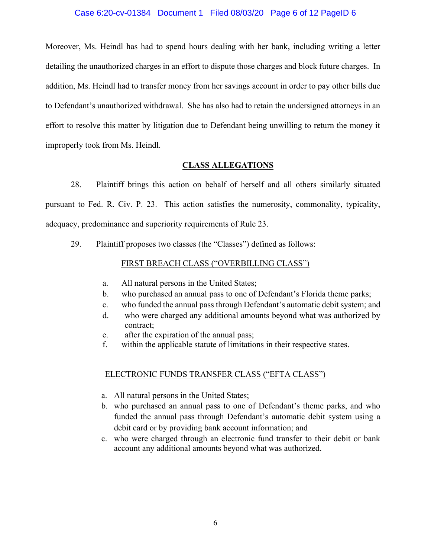#### Case 6:20-cv-01384 Document 1 Filed 08/03/20 Page 6 of 12 PageID 6

Moreover, Ms. Heindl has had to spend hours dealing with her bank, including writing a letter detailing the unauthorized charges in an effort to dispute those charges and block future charges. In addition, Ms. Heindl had to transfer money from her savings account in order to pay other bills due to Defendant's unauthorized withdrawal. She has also had to retain the undersigned attorneys in an effort to resolve this matter by litigation due to Defendant being unwilling to return the money it improperly took from Ms. Heindl.

### **CLASS ALLEGATIONS**

28. Plaintiff brings this action on behalf of herself and all others similarly situated pursuant to Fed. R. Civ. P. 23. This action satisfies the numerosity, commonality, typicality, adequacy, predominance and superiority requirements of Rule 23.

29. Plaintiff proposes two classes (the "Classes") defined as follows:

### FIRST BREACH CLASS ("OVERBILLING CLASS")

- a. All natural persons in the United States;
- b. who purchased an annual pass to one of Defendant's Florida theme parks;
- c. who funded the annual pass through Defendant's automatic debit system; and
- d. who were charged any additional amounts beyond what was authorized by contract;
- e. after the expiration of the annual pass;
- f. within the applicable statute of limitations in their respective states.

# ELECTRONIC FUNDS TRANSFER CLASS ("EFTA CLASS")

- a. All natural persons in the United States;
- b. who purchased an annual pass to one of Defendant's theme parks, and who funded the annual pass through Defendant's automatic debit system using a debit card or by providing bank account information; and
- c. who were charged through an electronic fund transfer to their debit or bank account any additional amounts beyond what was authorized.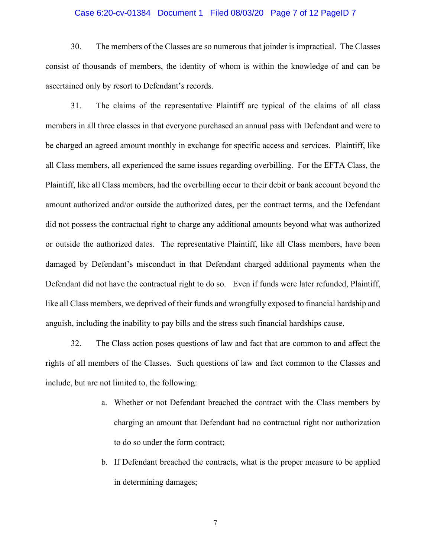#### Case 6:20-cv-01384 Document 1 Filed 08/03/20 Page 7 of 12 PageID 7

30. The members of the Classes are so numerous that joinder is impractical. The Classes consist of thousands of members, the identity of whom is within the knowledge of and can be ascertained only by resort to Defendant's records.

31. The claims of the representative Plaintiff are typical of the claims of all class members in all three classes in that everyone purchased an annual pass with Defendant and were to be charged an agreed amount monthly in exchange for specific access and services. Plaintiff, like all Class members, all experienced the same issues regarding overbilling. For the EFTA Class, the Plaintiff, like all Class members, had the overbilling occur to their debit or bank account beyond the amount authorized and/or outside the authorized dates, per the contract terms, and the Defendant did not possess the contractual right to charge any additional amounts beyond what was authorized or outside the authorized dates. The representative Plaintiff, like all Class members, have been damaged by Defendant's misconduct in that Defendant charged additional payments when the Defendant did not have the contractual right to do so. Even if funds were later refunded, Plaintiff, like all Class members, we deprived of their funds and wrongfully exposed to financial hardship and anguish, including the inability to pay bills and the stress such financial hardships cause.

32. The Class action poses questions of law and fact that are common to and affect the rights of all members of the Classes. Such questions of law and fact common to the Classes and include, but are not limited to, the following:

- a. Whether or not Defendant breached the contract with the Class members by charging an amount that Defendant had no contractual right nor authorization to do so under the form contract;
- b. If Defendant breached the contracts, what is the proper measure to be applied in determining damages;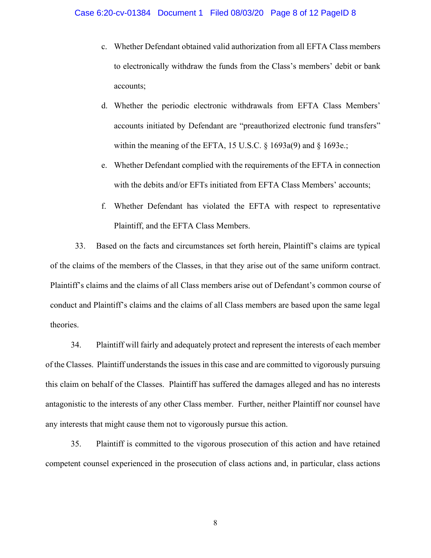- c. Whether Defendant obtained valid authorization from all EFTA Class members to electronically withdraw the funds from the Class's members' debit or bank accounts;
- d. Whether the periodic electronic withdrawals from EFTA Class Members' accounts initiated by Defendant are "preauthorized electronic fund transfers" within the meaning of the EFTA, 15 U.S.C. § 1693a(9) and § 1693e.;
- e. Whether Defendant complied with the requirements of the EFTA in connection with the debits and/or EFTs initiated from EFTA Class Members' accounts;
- f. Whether Defendant has violated the EFTA with respect to representative Plaintiff, and the EFTA Class Members.

33. Based on the facts and circumstances set forth herein, Plaintiff's claims are typical of the claims of the members of the Classes, in that they arise out of the same uniform contract. Plaintiff's claims and the claims of all Class members arise out of Defendant's common course of conduct and Plaintiff's claims and the claims of all Class members are based upon the same legal theories.

34. Plaintiff will fairly and adequately protect and represent the interests of each member of the Classes. Plaintiff understands the issues in this case and are committed to vigorously pursuing this claim on behalf of the Classes. Plaintiff has suffered the damages alleged and has no interests antagonistic to the interests of any other Class member. Further, neither Plaintiff nor counsel have any interests that might cause them not to vigorously pursue this action.

35. Plaintiff is committed to the vigorous prosecution of this action and have retained competent counsel experienced in the prosecution of class actions and, in particular, class actions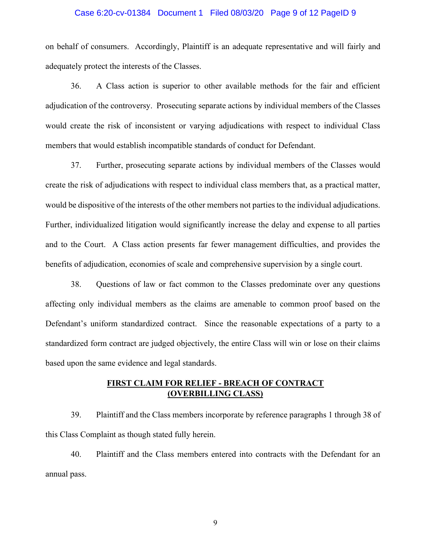#### Case 6:20-cv-01384 Document 1 Filed 08/03/20 Page 9 of 12 PageID 9

on behalf of consumers. Accordingly, Plaintiff is an adequate representative and will fairly and adequately protect the interests of the Classes.

36. A Class action is superior to other available methods for the fair and efficient adjudication of the controversy. Prosecuting separate actions by individual members of the Classes would create the risk of inconsistent or varying adjudications with respect to individual Class members that would establish incompatible standards of conduct for Defendant.

37. Further, prosecuting separate actions by individual members of the Classes would create the risk of adjudications with respect to individual class members that, as a practical matter, would be dispositive of the interests of the other members not parties to the individual adjudications. Further, individualized litigation would significantly increase the delay and expense to all parties and to the Court. A Class action presents far fewer management difficulties, and provides the benefits of adjudication, economies of scale and comprehensive supervision by a single court.

38. Questions of law or fact common to the Classes predominate over any questions affecting only individual members as the claims are amenable to common proof based on the Defendant's uniform standardized contract. Since the reasonable expectations of a party to a standardized form contract are judged objectively, the entire Class will win or lose on their claims based upon the same evidence and legal standards.

# **FIRST CLAIM FOR RELIEF - BREACH OF CONTRACT (OVERBILLING CLASS)**

39. Plaintiff and the Class members incorporate by reference paragraphs 1 through 38 of this Class Complaint as though stated fully herein.

40. Plaintiff and the Class members entered into contracts with the Defendant for an annual pass.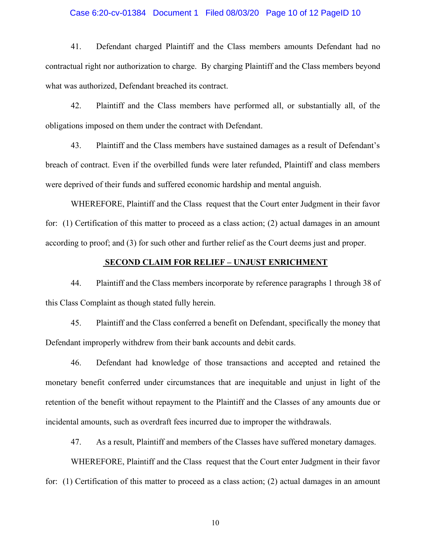#### Case 6:20-cv-01384 Document 1 Filed 08/03/20 Page 10 of 12 PageID 10

41. Defendant charged Plaintiff and the Class members amounts Defendant had no contractual right nor authorization to charge. By charging Plaintiff and the Class members beyond what was authorized, Defendant breached its contract.

42. Plaintiff and the Class members have performed all, or substantially all, of the obligations imposed on them under the contract with Defendant.

43. Plaintiff and the Class members have sustained damages as a result of Defendant's breach of contract. Even if the overbilled funds were later refunded, Plaintiff and class members were deprived of their funds and suffered economic hardship and mental anguish.

WHEREFORE, Plaintiff and the Class request that the Court enter Judgment in their favor for: (1) Certification of this matter to proceed as a class action; (2) actual damages in an amount according to proof; and (3) for such other and further relief as the Court deems just and proper.

#### **SECOND CLAIM FOR RELIEF ± UNJUST ENRICHMENT**

44. Plaintiff and the Class members incorporate by reference paragraphs 1 through 38 of this Class Complaint as though stated fully herein.

45. Plaintiff and the Class conferred a benefit on Defendant, specifically the money that Defendant improperly withdrew from their bank accounts and debit cards.

46. Defendant had knowledge of those transactions and accepted and retained the monetary benefit conferred under circumstances that are inequitable and unjust in light of the retention of the benefit without repayment to the Plaintiff and the Classes of any amounts due or incidental amounts, such as overdraft fees incurred due to improper the withdrawals.

47. As a result, Plaintiff and members of the Classes have suffered monetary damages.

WHEREFORE, Plaintiff and the Class request that the Court enter Judgment in their favor for: (1) Certification of this matter to proceed as a class action; (2) actual damages in an amount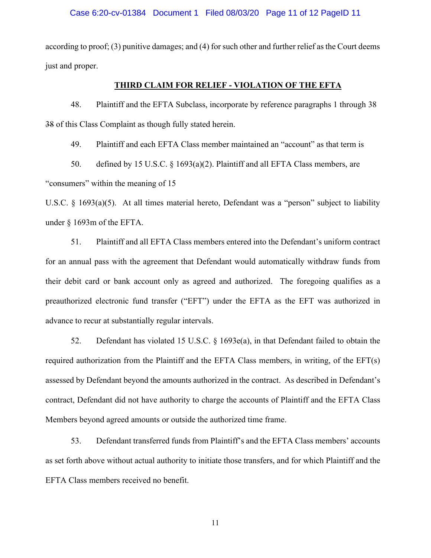according to proof; (3) punitive damages; and (4) for such other and further relief as the Court deems just and proper.

### **THIRD CLAIM FOR RELIEF - VIOLATION OF THE EFTA**

48. Plaintiff and the EFTA Subclass, incorporate by reference paragraphs 1 through 38 38 of this Class Complaint as though fully stated herein.

49. Plaintiff and each EFTA Class member maintained an "account" as that term is

50. defined by 15 U.S.C. § 1693(a)(2). Plaintiff and all EFTA Class members, are "consumers" within the meaning of 15

U.S.C.  $\&$  1693(a)(5). At all times material hereto, Defendant was a "person" subject to liability under § 1693m of the EFTA.

51. Plaintiff and all EFTA Class members entered into the Defendant's uniform contract for an annual pass with the agreement that Defendant would automatically withdraw funds from their debit card or bank account only as agreed and authorized. The foregoing qualifies as a preauthorized electronic fund transfer ("EFT") under the EFTA as the EFT was authorized in advance to recur at substantially regular intervals.

52. Defendant has violated 15 U.S.C. § 1693e(a), in that Defendant failed to obtain the required authorization from the Plaintiff and the EFTA Class members, in writing, of the EFT(s) assessed by Defendant beyond the amounts authorized in the contract. As described in Defendant's contract, Defendant did not have authority to charge the accounts of Plaintiff and the EFTA Class Members beyond agreed amounts or outside the authorized time frame.

53. Defendant transferred funds from Plaintiff's and the EFTA Class members' accounts as set forth above without actual authority to initiate those transfers, and for which Plaintiff and the EFTA Class members received no benefit.